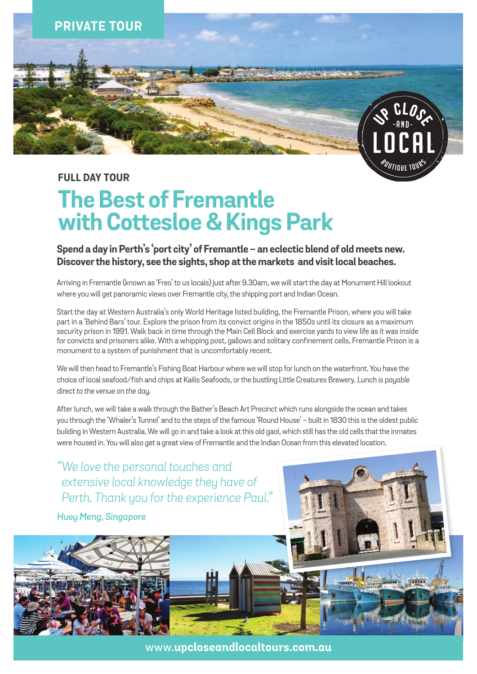

### **FULL DAY TOUR**

# **The Best of Fremantle with Cottesloe & Kings Park**

**Spend a day in Perth's 'port city' of Fremantle - an eclectic blend of old meets new. Discover the history, see the sights, shop at the markets and visit local beaches.**

Arriving in Fremantle (known as 'Freo' to us locals) just after 9.30am, we will start the day at Monument Hill lookout where you will get panoramic views over Fremantle city, the shipping port and Indian Ocean.

Start the day at Western Australia's only World Heritage listed building, the Fremantle Prison, where you will take part in a 'Behind Bars' tour. Explore the prison from its convict origins in the 1850s until its closure as a maximum security prison in 1991. Walk back in time through the Main Cell Block and exercise yards to view life as it was inside for convicts and prisoners alike. With a whipping post, gallows and solitary confinement cells, Fremantle Prison is a monument to a system of punishment that is uncomfortably recent.

We will then head to Fremantle's Fishing Boat Harbour where we will stop for lunch on the waterfront. You have the choice of local seafood/fish and chips at Kailis Seafoods, or the bustling Little Creatures Brewery. *Lunch is payable direct to the venue on the day.*

After lunch, we will take a walk through the Bather's Beach Art Precinct which runs alongside the ocean and takes you through the 'Whaler's Tunnel' and to the steps of the famous 'Round House' - built in 1830 this is the oldest public building in Western Australia. We will go in and take a look at this old gaol, which still has the old cells that the inmates were housed in. You will also get a great view of Fremantle and the Indian Ocean from this elevated location.

*"We love the personal touches and extensive local knowledge they have of Perth. Thank you for the experience Paul."*

*Huey Meng, Singapore*



www.**upcloseandlocaltours.com.au**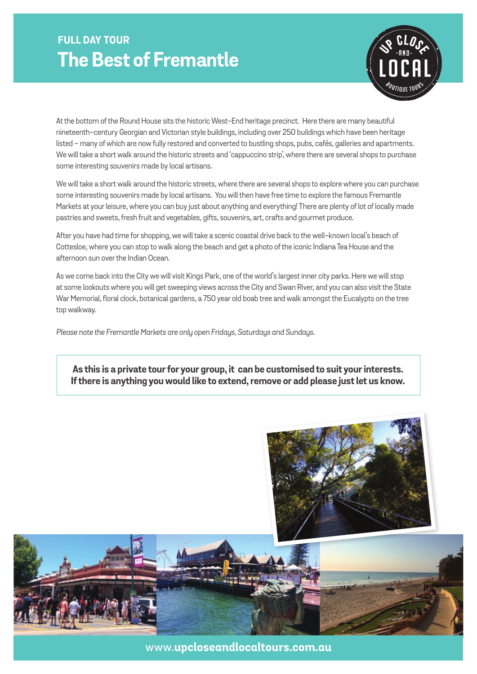### **FULL DAY TOUR The Best of Fremantle**



At the bottom of the Round House sits the historic West-End heritage precinct. Here there are many beautiful nineteenth-century Georgian and Victorian style buildings, including over 250 buildings which have been heritage listed - many of which are now fully restored and converted to bustling shops, pubs, cafés, galleries and apartments. We will take a short walk around the historic streets and 'cappuccino strip', where there are several shops to purchase some interesting souvenirs made by local artisans.

We will take a short walk around the historic streets, where there are several shops to explore where you can purchase some interesting souvenirs made by local artisans. You will then have free time to explore the famous Fremantle Markets at your leisure, where you can buy just about anything and everything! There are plenty of lot of locally made pastries and sweets, fresh fruit and vegetables, gifts, souvenirs, art, crafts and gourmet produce.

After you have had time for shopping, we will take a scenic coastal drive back to the well-known local's beach of Cottesloe, where you can stop to walk along the beach and get a photo of the iconic Indiana Tea House and the afternoon sun over the Indian Ocean.

As we come back into the City we will visit Kings Park, one of the world's largest inner city parks. Here we will stop at some lookouts where you will get sweeping views across the City and Swan River, and you can also visit the State War Memorial, floral clock, botanical gardens, a 750 year old boab tree and walk amongst the Eucalypts on the tree top walkway.

*Please note the Fremantle Markets are only open Fridays, Saturdays and Sundays.*

### **As this is a private tour for your group, it can be customised to suit your interests. If there is anything you would like to extend, remove or add please just let us know.**



www.**upcloseandlocaltours.com.au**